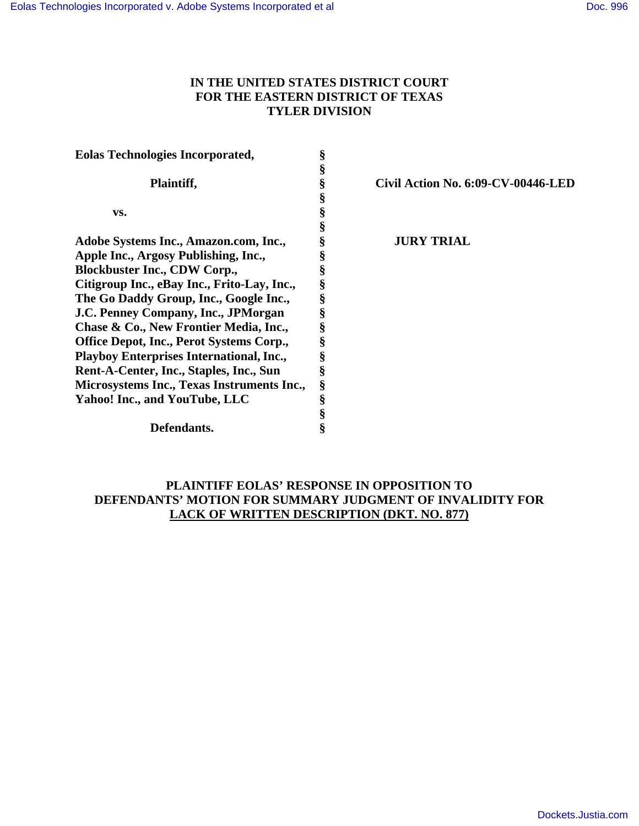# **IN THE UNITED STATES DISTRICT COURT FOR THE EASTERN DISTRICT OF TEXAS TYLER DIVISION**

| <b>Eolas Technologies Incorporated,</b>         | ş |                                    |
|-------------------------------------------------|---|------------------------------------|
|                                                 | Š |                                    |
| Plaintiff,                                      | § | Civil Action No. 6:09-CV-00446-LED |
|                                                 | § |                                    |
| VS.                                             | § |                                    |
|                                                 | § |                                    |
| Adobe Systems Inc., Amazon.com, Inc.,           | § | <b>JURY TRIAL</b>                  |
| Apple Inc., Argosy Publishing, Inc.,            | § |                                    |
| <b>Blockbuster Inc., CDW Corp.,</b>             | § |                                    |
| Citigroup Inc., eBay Inc., Frito-Lay, Inc.,     | § |                                    |
| The Go Daddy Group, Inc., Google Inc.,          | § |                                    |
| J.C. Penney Company, Inc., JPMorgan             | § |                                    |
| Chase & Co., New Frontier Media, Inc.,          | § |                                    |
| Office Depot, Inc., Perot Systems Corp.,        | § |                                    |
| <b>Playboy Enterprises International, Inc.,</b> | § |                                    |
| Rent-A-Center, Inc., Staples, Inc., Sun         | § |                                    |
| Microsystems Inc., Texas Instruments Inc.,      | § |                                    |
| Yahoo! Inc., and YouTube, LLC                   | § |                                    |
|                                                 | § |                                    |
| Defendants.                                     | 8 |                                    |

# **PLAINTIFF EOLAS' RESPONSE IN OPPOSITION TO DEFENDANTS' MOTION FOR SUMMARY JUDGMENT OF INVALIDITY FOR LACK OF WRITTEN DESCRIPTION (DKT. NO. 877)**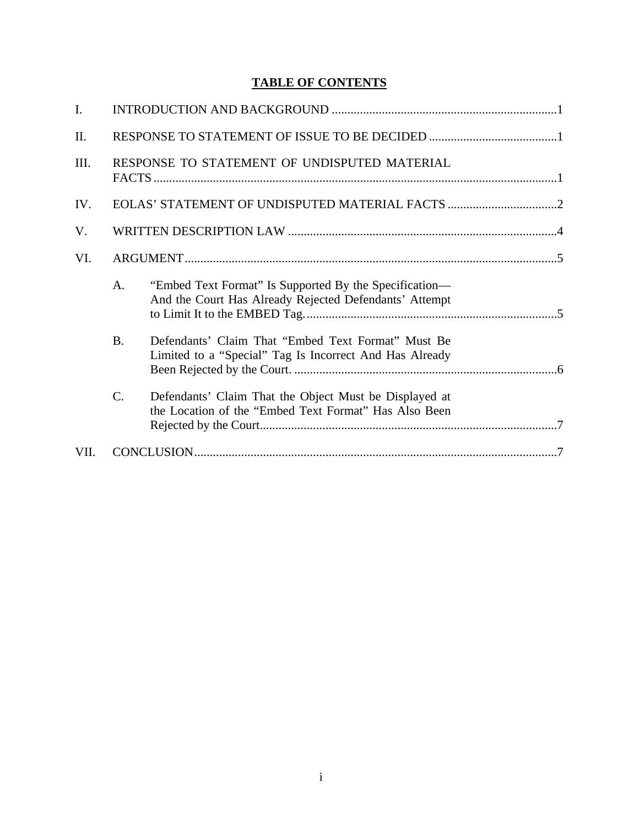# **TABLE OF CONTENTS**

| I.   |                                              |                                                                                                                  |  |  |
|------|----------------------------------------------|------------------------------------------------------------------------------------------------------------------|--|--|
| Π.   |                                              |                                                                                                                  |  |  |
| III. | RESPONSE TO STATEMENT OF UNDISPUTED MATERIAL |                                                                                                                  |  |  |
| IV.  |                                              |                                                                                                                  |  |  |
| V.   |                                              |                                                                                                                  |  |  |
| VI.  |                                              |                                                                                                                  |  |  |
|      | A.                                           | "Embed Text Format" Is Supported By the Specification—<br>And the Court Has Already Rejected Defendants' Attempt |  |  |
|      | <b>B.</b>                                    | Defendants' Claim That "Embed Text Format" Must Be<br>Limited to a "Special" Tag Is Incorrect And Has Already    |  |  |
|      | C.                                           | Defendants' Claim That the Object Must be Displayed at<br>the Location of the "Embed Text Format" Has Also Been  |  |  |
| VII. |                                              |                                                                                                                  |  |  |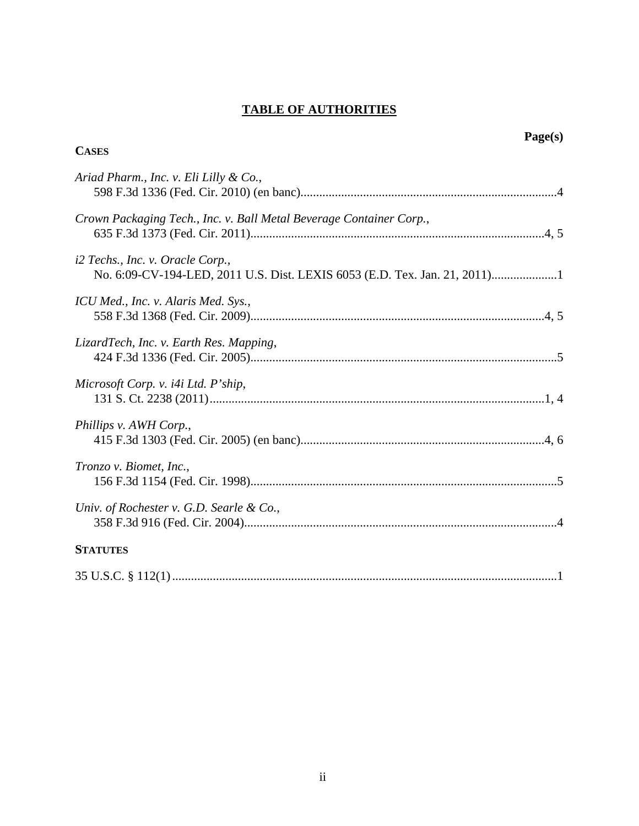# **TABLE OF AUTHORITIES**

| Page(s)<br><b>CASES</b>                                                                                        |
|----------------------------------------------------------------------------------------------------------------|
| Ariad Pharm., Inc. v. Eli Lilly & Co.,                                                                         |
| Crown Packaging Tech., Inc. v. Ball Metal Beverage Container Corp.,                                            |
| i2 Techs., Inc. v. Oracle Corp.,<br>No. 6:09-CV-194-LED, 2011 U.S. Dist. LEXIS 6053 (E.D. Tex. Jan. 21, 2011)1 |
| ICU Med., Inc. v. Alaris Med. Sys.,                                                                            |
| LizardTech, Inc. v. Earth Res. Mapping,                                                                        |
| Microsoft Corp. v. i4i Ltd. P'ship,                                                                            |
| Phillips v. AWH Corp.,                                                                                         |
| Tronzo v. Biomet, Inc.,                                                                                        |
| Univ. of Rochester v. G.D. Searle & Co.,                                                                       |
| <b>STATUTES</b>                                                                                                |

|--|--|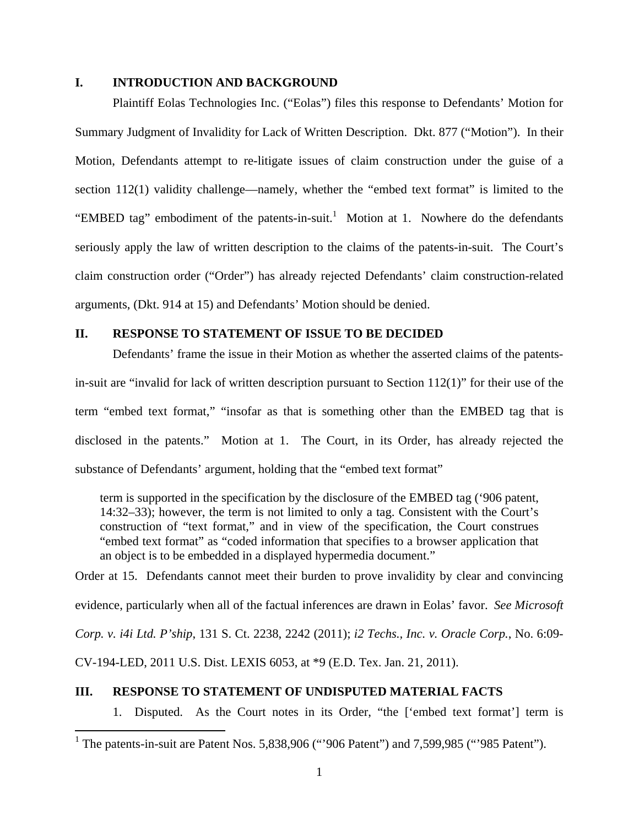#### **I. INTRODUCTION AND BACKGROUND**

 Plaintiff Eolas Technologies Inc. ("Eolas") files this response to Defendants' Motion for Summary Judgment of Invalidity for Lack of Written Description. Dkt. 877 ("Motion"). In their Motion, Defendants attempt to re-litigate issues of claim construction under the guise of a section 112(1) validity challenge—namely, whether the "embed text format" is limited to the "EMBED tag" embodiment of the patents-in-suit.<sup>1</sup> Motion at 1. Nowhere do the defendants seriously apply the law of written description to the claims of the patents-in-suit. The Court's claim construction order ("Order") has already rejected Defendants' claim construction-related arguments, (Dkt. 914 at 15) and Defendants' Motion should be denied.

### **II. RESPONSE TO STATEMENT OF ISSUE TO BE DECIDED**

 Defendants' frame the issue in their Motion as whether the asserted claims of the patentsin-suit are "invalid for lack of written description pursuant to Section  $112(1)$ " for their use of the term "embed text format," "insofar as that is something other than the EMBED tag that is disclosed in the patents." Motion at 1. The Court, in its Order, has already rejected the substance of Defendants' argument, holding that the "embed text format"

term is supported in the specification by the disclosure of the EMBED tag ('906 patent, 14:32–33); however, the term is not limited to only a tag. Consistent with the Court's construction of "text format," and in view of the specification, the Court construes "embed text format" as "coded information that specifies to a browser application that an object is to be embedded in a displayed hypermedia document."

Order at 15. Defendants cannot meet their burden to prove invalidity by clear and convincing evidence, particularly when all of the factual inferences are drawn in Eolas' favor. *See Microsoft Corp. v. i4i Ltd. P'ship*, 131 S. Ct. 2238, 2242 (2011); *i2 Techs., Inc. v. Oracle Corp.*, No. 6:09- CV-194-LED, 2011 U.S. Dist. LEXIS 6053, at \*9 (E.D. Tex. Jan. 21, 2011).

#### **III. RESPONSE TO STATEMENT OF UNDISPUTED MATERIAL FACTS**

 $\overline{a}$ 

1. Disputed. As the Court notes in its Order, "the ['embed text format'] term is

<sup>&</sup>lt;sup>1</sup> The patents-in-suit are Patent Nos. 5,838,906 ("'906 Patent") and 7,599,985 ("'985 Patent").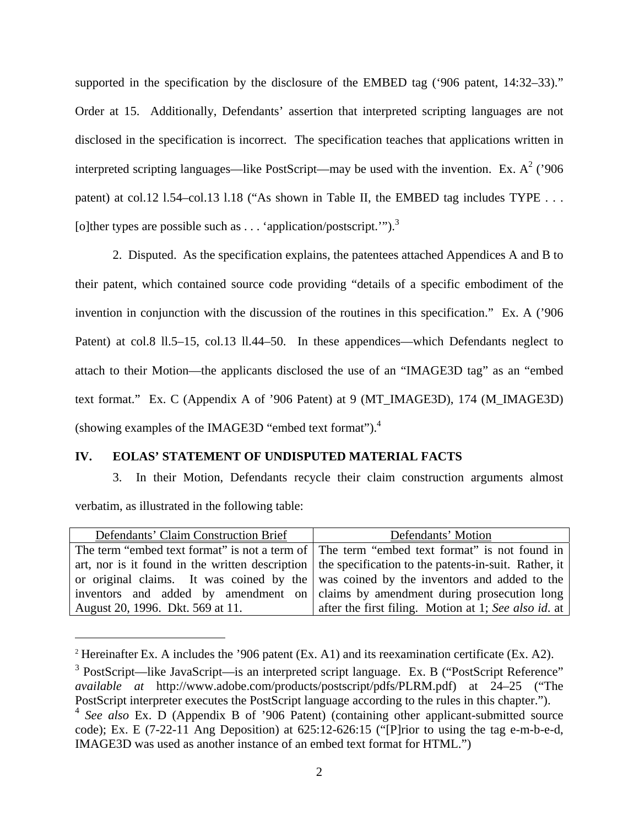supported in the specification by the disclosure of the EMBED tag ('906 patent, 14:32–33)." Order at 15. Additionally, Defendants' assertion that interpreted scripting languages are not disclosed in the specification is incorrect. The specification teaches that applications written in interpreted scripting languages—like PostScript—may be used with the invention. Ex.  $A^2$  ('906 patent) at col.12 1.54–col.13 1.18 ("As shown in Table II, the EMBED tag includes TYPE . . . [o]ther types are possible such as . . . 'application/postscript.'").<sup>3</sup>

 2. Disputed. As the specification explains, the patentees attached Appendices A and B to their patent, which contained source code providing "details of a specific embodiment of the invention in conjunction with the discussion of the routines in this specification." Ex. A ('906 Patent) at col.8 ll.5–15, col.13 ll.44–50. In these appendices—which Defendants neglect to attach to their Motion—the applicants disclosed the use of an "IMAGE3D tag" as an "embed text format." Ex. C (Appendix A of '906 Patent) at 9 (MT\_IMAGE3D), 174 (M\_IMAGE3D) (showing examples of the IMAGE3D "embed text format").4

## **IV. EOLAS' STATEMENT OF UNDISPUTED MATERIAL FACTS**

 $\overline{a}$ 

 3. In their Motion, Defendants recycle their claim construction arguments almost verbatim, as illustrated in the following table:

| Defendants' Claim Construction Brief | Defendants' Motion                                                                                     |
|--------------------------------------|--------------------------------------------------------------------------------------------------------|
|                                      | The term "embed text format" is not a term of The term "embed text format" is not found in             |
|                                      | art, nor is it found in the written description   the specification to the patents-in-suit. Rather, it |
|                                      | or original claims. It was coined by the was coined by the inventors and added to the                  |
|                                      | inventors and added by amendment on claims by amendment during prosecution long                        |
| August 20, 1996. Dkt. 569 at 11.     | after the first filing. Motion at 1; See also id. at                                                   |

<sup>&</sup>lt;sup>2</sup> Hereinafter Ex. A includes the '906 patent (Ex. A1) and its reexamination certificate (Ex. A2).

 $3$  PostScript—like JavaScript—is an interpreted script language. Ex. B ("PostScript Reference" *available at* http://www.adobe.com/products/postscript/pdfs/PLRM.pdf) at 24–25 ("The PostScript interpreter executes the PostScript language according to the rules in this chapter.").

<sup>4</sup> *See also* Ex. D (Appendix B of '906 Patent) (containing other applicant-submitted source code); Ex. E (7-22-11 Ang Deposition) at 625:12-626:15 ("[P]rior to using the tag e-m-b-e-d, IMAGE3D was used as another instance of an embed text format for HTML.")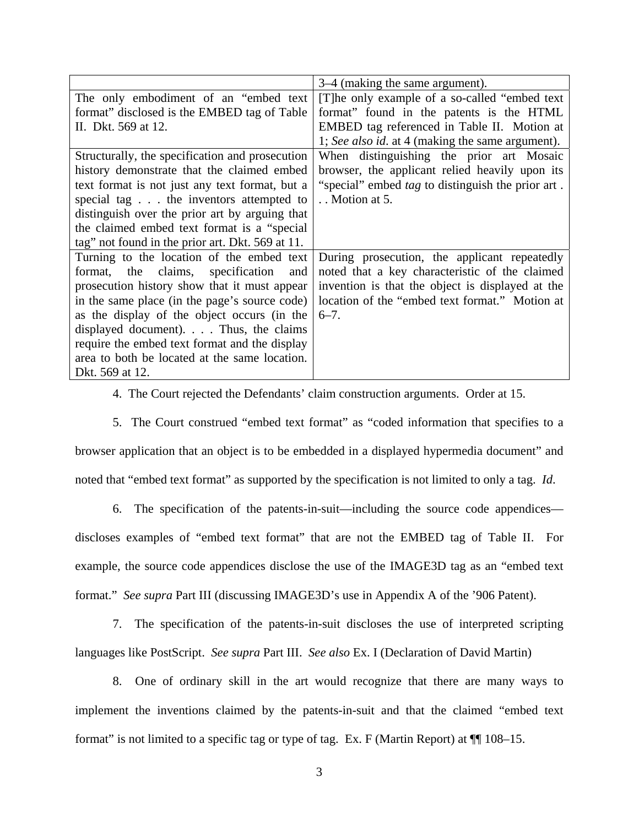|                                                  | 3–4 (making the same argument).                          |
|--------------------------------------------------|----------------------------------------------------------|
| The only embodiment of an "embed text"           | [T] he only example of a so-called "embed text"          |
| format" disclosed is the EMBED tag of Table      | format" found in the patents is the HTML                 |
| II. Dkt. 569 at 12.                              | EMBED tag referenced in Table II. Motion at              |
|                                                  | 1; See also id. at 4 (making the same argument).         |
| Structurally, the specification and prosecution  | When distinguishing the prior art Mosaic                 |
| history demonstrate that the claimed embed       | browser, the applicant relied heavily upon its           |
| text format is not just any text format, but a   | "special" embed <i>tag</i> to distinguish the prior art. |
| special tag the inventors attempted to           | Motion at 5.                                             |
| distinguish over the prior art by arguing that   |                                                          |
| the claimed embed text format is a "special"     |                                                          |
| tag" not found in the prior art. Dkt. 569 at 11. |                                                          |
| Turning to the location of the embed text        | During prosecution, the applicant repeatedly             |
| claims, specification<br>format, the<br>and      | noted that a key characteristic of the claimed           |
| prosecution history show that it must appear     | invention is that the object is displayed at the         |
| in the same place (in the page's source code)    | location of the "embed text format." Motion at           |
| as the display of the object occurs (in the      | $6 - 7$ .                                                |
| displayed document). $\ldots$ Thus, the claims   |                                                          |
| require the embed text format and the display    |                                                          |
| area to both be located at the same location.    |                                                          |
| Dkt. 569 at 12.                                  |                                                          |

4. The Court rejected the Defendants' claim construction arguments. Order at 15.

 5. The Court construed "embed text format" as "coded information that specifies to a browser application that an object is to be embedded in a displayed hypermedia document" and noted that "embed text format" as supported by the specification is not limited to only a tag. *Id*.

 6. The specification of the patents-in-suit—including the source code appendices discloses examples of "embed text format" that are not the EMBED tag of Table II. For example, the source code appendices disclose the use of the IMAGE3D tag as an "embed text format." *See supra* Part III (discussing IMAGE3D's use in Appendix A of the '906 Patent).

 7. The specification of the patents-in-suit discloses the use of interpreted scripting languages like PostScript. *See supra* Part III. *See also* Ex. I (Declaration of David Martin)

 8. One of ordinary skill in the art would recognize that there are many ways to implement the inventions claimed by the patents-in-suit and that the claimed "embed text format" is not limited to a specific tag or type of tag. Ex. F (Martin Report) at  $\P$  108–15.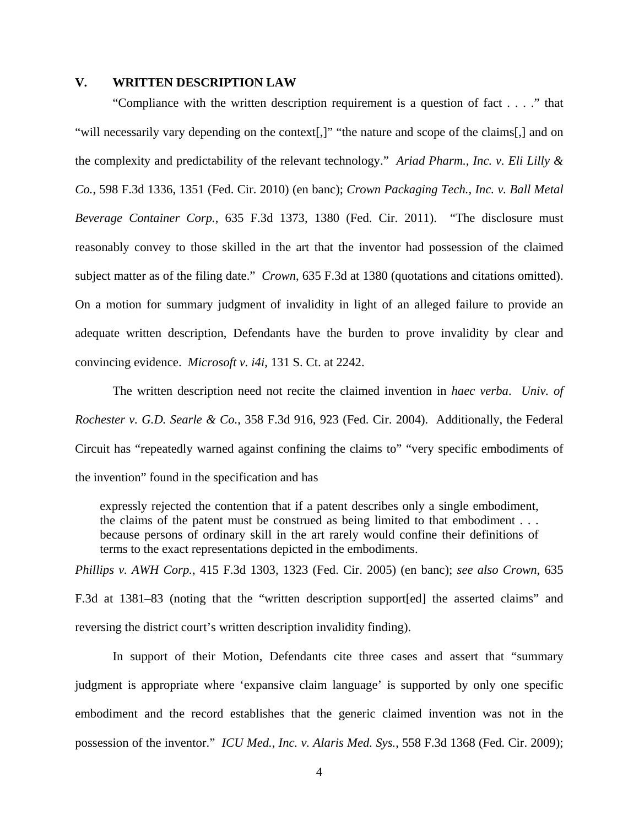#### **V. WRITTEN DESCRIPTION LAW**

 "Compliance with the written description requirement is a question of fact . . . ." that "will necessarily vary depending on the context[,]" "the nature and scope of the claims[,] and on the complexity and predictability of the relevant technology." *Ariad Pharm., Inc. v. Eli Lilly & Co.*, 598 F.3d 1336, 1351 (Fed. Cir. 2010) (en banc); *Crown Packaging Tech., Inc. v. Ball Metal Beverage Container Corp.*, 635 F.3d 1373, 1380 (Fed. Cir. 2011). "The disclosure must reasonably convey to those skilled in the art that the inventor had possession of the claimed subject matter as of the filing date." *Crown*, 635 F.3d at 1380 (quotations and citations omitted). On a motion for summary judgment of invalidity in light of an alleged failure to provide an adequate written description, Defendants have the burden to prove invalidity by clear and convincing evidence. *Microsoft v. i4i*, 131 S. Ct. at 2242.

 The written description need not recite the claimed invention in *haec verba*. *Univ. of Rochester v. G.D. Searle & Co.*, 358 F.3d 916, 923 (Fed. Cir. 2004). Additionally, the Federal Circuit has "repeatedly warned against confining the claims to" "very specific embodiments of the invention" found in the specification and has

expressly rejected the contention that if a patent describes only a single embodiment, the claims of the patent must be construed as being limited to that embodiment . . . because persons of ordinary skill in the art rarely would confine their definitions of terms to the exact representations depicted in the embodiments.

*Phillips v. AWH Corp.*, 415 F.3d 1303, 1323 (Fed. Cir. 2005) (en banc); *see also Crown*, 635 F.3d at 1381–83 (noting that the "written description support[ed] the asserted claims" and reversing the district court's written description invalidity finding).

 In support of their Motion, Defendants cite three cases and assert that "summary judgment is appropriate where 'expansive claim language' is supported by only one specific embodiment and the record establishes that the generic claimed invention was not in the possession of the inventor." *ICU Med., Inc. v. Alaris Med. Sys.*, 558 F.3d 1368 (Fed. Cir. 2009);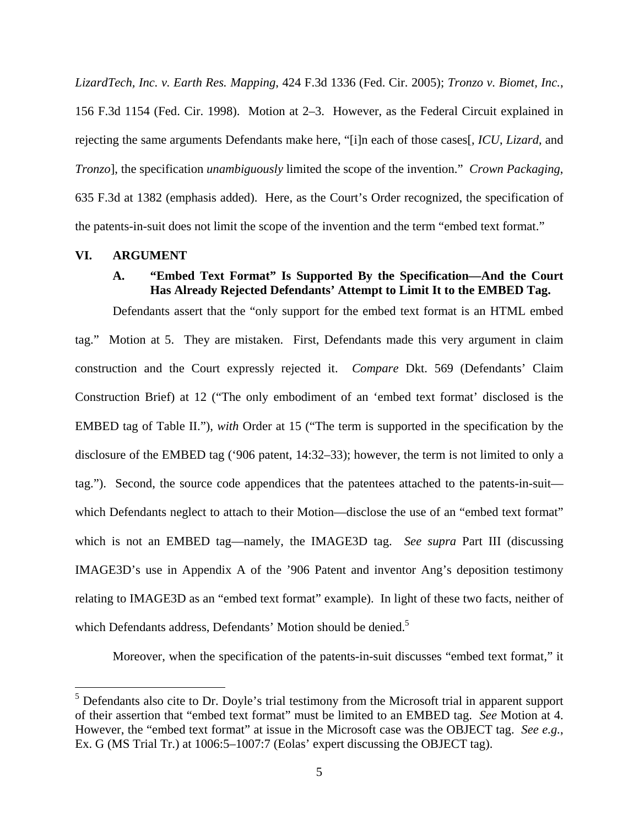*LizardTech, Inc. v. Earth Res. Mapping*, 424 F.3d 1336 (Fed. Cir. 2005); *Tronzo v. Biomet, Inc.*, 156 F.3d 1154 (Fed. Cir. 1998). Motion at 2–3. However, as the Federal Circuit explained in rejecting the same arguments Defendants make here, "[i]n each of those cases[, *ICU*, *Lizard*, and *Tronzo*], the specification *unambiguously* limited the scope of the invention." *Crown Packaging*, 635 F.3d at 1382 (emphasis added). Here, as the Court's Order recognized, the specification of the patents-in-suit does not limit the scope of the invention and the term "embed text format."

### **VI. ARGUMENT**

 $\overline{a}$ 

# **A. "Embed Text Format" Is Supported By the Specification—And the Court Has Already Rejected Defendants' Attempt to Limit It to the EMBED Tag.**

 Defendants assert that the "only support for the embed text format is an HTML embed tag." Motion at 5. They are mistaken. First, Defendants made this very argument in claim construction and the Court expressly rejected it. *Compare* Dkt. 569 (Defendants' Claim Construction Brief) at 12 ("The only embodiment of an 'embed text format' disclosed is the EMBED tag of Table II."), *with* Order at 15 ("The term is supported in the specification by the disclosure of the EMBED tag ('906 patent, 14:32–33); however, the term is not limited to only a tag."). Second, the source code appendices that the patentees attached to the patents-in-suit which Defendants neglect to attach to their Motion—disclose the use of an "embed text format" which is not an EMBED tag—namely, the IMAGE3D tag. *See supra* Part III (discussing IMAGE3D's use in Appendix A of the '906 Patent and inventor Ang's deposition testimony relating to IMAGE3D as an "embed text format" example). In light of these two facts, neither of which Defendants address, Defendants' Motion should be denied.<sup>5</sup>

Moreover, when the specification of the patents-in-suit discusses "embed text format," it

<sup>&</sup>lt;sup>5</sup> Defendants also cite to Dr. Doyle's trial testimony from the Microsoft trial in apparent support of their assertion that "embed text format" must be limited to an EMBED tag. *See* Motion at 4. However, the "embed text format" at issue in the Microsoft case was the OBJECT tag. *See e.g.*, Ex. G (MS Trial Tr.) at 1006:5–1007:7 (Eolas' expert discussing the OBJECT tag).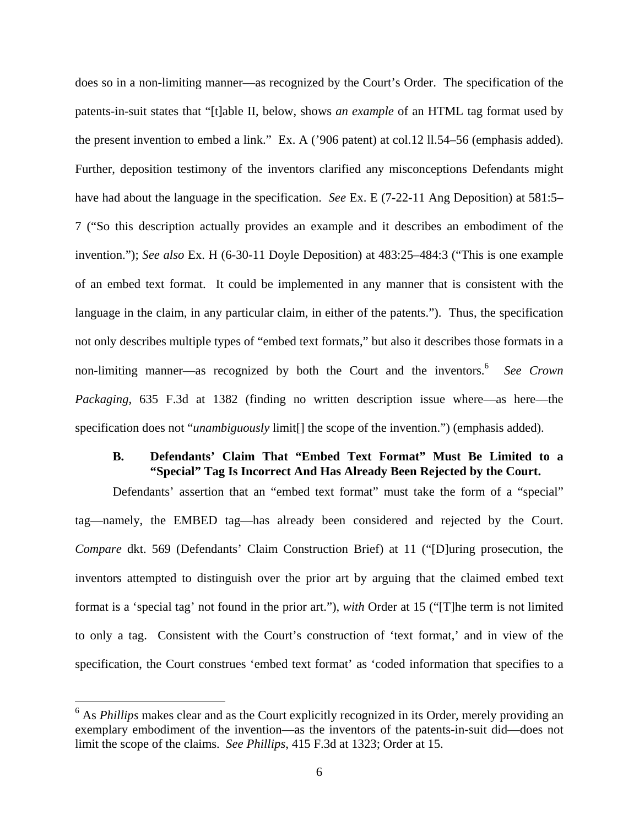does so in a non-limiting manner—as recognized by the Court's Order. The specification of the patents-in-suit states that "[t]able II, below, shows *an example* of an HTML tag format used by the present invention to embed a link." Ex. A ('906 patent) at col.12 ll.54–56 (emphasis added). Further, deposition testimony of the inventors clarified any misconceptions Defendants might have had about the language in the specification. *See* Ex. E (7-22-11 Ang Deposition) at 581:5– 7 ("So this description actually provides an example and it describes an embodiment of the invention."); *See also* Ex. H (6-30-11 Doyle Deposition) at 483:25–484:3 ("This is one example of an embed text format. It could be implemented in any manner that is consistent with the language in the claim, in any particular claim, in either of the patents."). Thus, the specification not only describes multiple types of "embed text formats," but also it describes those formats in a non-limiting manner—as recognized by both the Court and the inventors.<sup>6</sup> See Crown *Packaging*, 635 F.3d at 1382 (finding no written description issue where—as here—the specification does not "*unambiguously* limit[] the scope of the invention.") (emphasis added).

# **B. Defendants' Claim That "Embed Text Format" Must Be Limited to a "Special" Tag Is Incorrect And Has Already Been Rejected by the Court.**

 Defendants' assertion that an "embed text format" must take the form of a "special" tag—namely, the EMBED tag—has already been considered and rejected by the Court. *Compare* dkt. 569 (Defendants' Claim Construction Brief) at 11 ("[D]uring prosecution, the inventors attempted to distinguish over the prior art by arguing that the claimed embed text format is a 'special tag' not found in the prior art."), *with* Order at 15 ("[T]he term is not limited to only a tag. Consistent with the Court's construction of 'text format,' and in view of the specification, the Court construes 'embed text format' as 'coded information that specifies to a

 $\overline{a}$ 

<sup>&</sup>lt;sup>6</sup> As *Phillips* makes clear and as the Court explicitly recognized in its Order, merely providing an exemplary embodiment of the invention—as the inventors of the patents-in-suit did—does not limit the scope of the claims. *See Phillips*, 415 F.3d at 1323; Order at 15.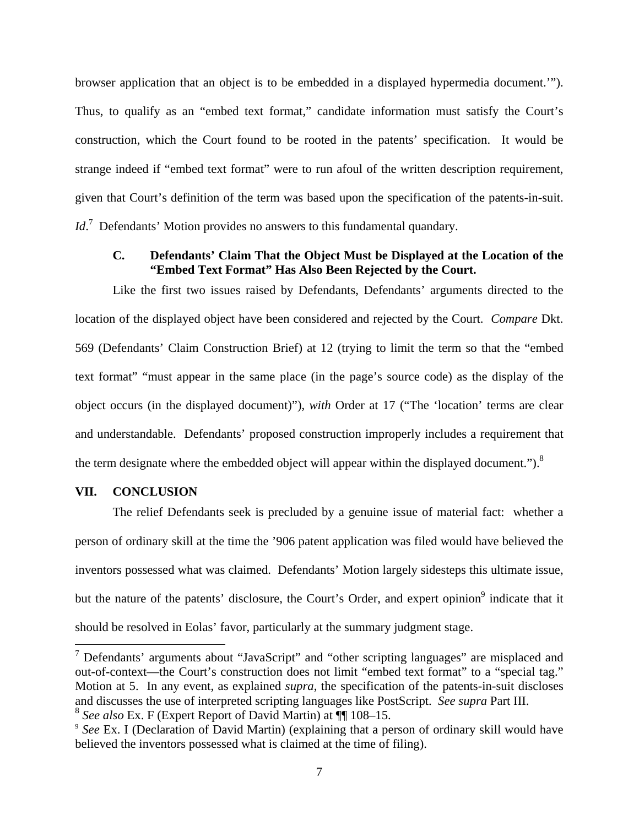browser application that an object is to be embedded in a displayed hypermedia document.'"). Thus, to qualify as an "embed text format," candidate information must satisfy the Court's construction, which the Court found to be rooted in the patents' specification. It would be strange indeed if "embed text format" were to run afoul of the written description requirement, given that Court's definition of the term was based upon the specification of the patents-in-suit. *Id*.<sup>7</sup> Defendants' Motion provides no answers to this fundamental quandary.

# **C. Defendants' Claim That the Object Must be Displayed at the Location of the "Embed Text Format" Has Also Been Rejected by the Court.**

 Like the first two issues raised by Defendants, Defendants' arguments directed to the location of the displayed object have been considered and rejected by the Court. *Compare* Dkt. 569 (Defendants' Claim Construction Brief) at 12 (trying to limit the term so that the "embed text format" "must appear in the same place (in the page's source code) as the display of the object occurs (in the displayed document)"), *with* Order at 17 ("The 'location' terms are clear and understandable. Defendants' proposed construction improperly includes a requirement that the term designate where the embedded object will appear within the displayed document." $)^8$ 

#### **VII. CONCLUSION**

 $\overline{a}$ 

 The relief Defendants seek is precluded by a genuine issue of material fact: whether a person of ordinary skill at the time the '906 patent application was filed would have believed the inventors possessed what was claimed. Defendants' Motion largely sidesteps this ultimate issue, but the nature of the patents' disclosure, the Court's Order, and expert opinion<sup>9</sup> indicate that it should be resolved in Eolas' favor, particularly at the summary judgment stage.

 $7$  Defendants' arguments about "JavaScript" and "other scripting languages" are misplaced and out-of-context—the Court's construction does not limit "embed text format" to a "special tag." Motion at 5. In any event, as explained *supra*, the specification of the patents-in-suit discloses and discusses the use of interpreted scripting languages like PostScript. *See supra* Part III.

<sup>&</sup>lt;sup>8</sup> *See also* Ex. F (Expert Report of David Martin) at  $\P$  108–15.<br><sup>9</sup> *See* Ex. I (Declaration of David Martin) (explaining that a person of ordinary skill would have believed the inventors possessed what is claimed at the time of filing).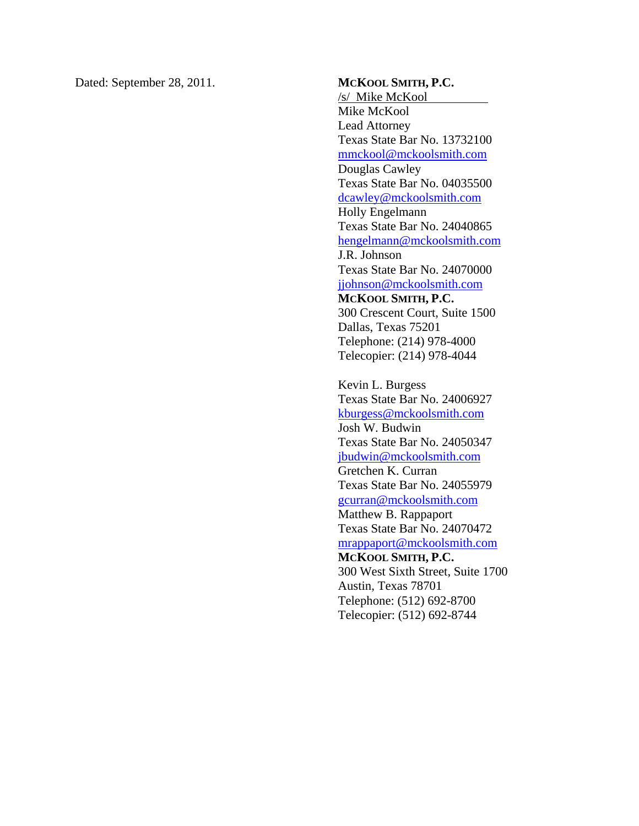Dated: September 28, 2011. **MCKOOL SMITH, P.C.** 

/s/ Mike McKool Mike McKool Lead Attorney Texas State Bar No. 13732100 mmckool@mckoolsmith.com Douglas Cawley Texas State Bar No. 04035500 dcawley@mckoolsmith.com Holly Engelmann Texas State Bar No. 24040865 hengelmann@mckoolsmith.com J.R. Johnson Texas State Bar No. 24070000 jjohnson@mckoolsmith.com **MCKOOL SMITH, P.C.**  300 Crescent Court, Suite 1500 Dallas, Texas 75201 Telephone: (214) 978-4000 Telecopier: (214) 978-4044

Kevin L. Burgess Texas State Bar No. 24006927 kburgess@mckoolsmith.com Josh W. Budwin Texas State Bar No. 24050347 jbudwin@mckoolsmith.com Gretchen K. Curran Texas State Bar No. 24055979 gcurran@mckoolsmith.com Matthew B. Rappaport Texas State Bar No. 24070472 mrappaport@mckoolsmith.com **MCKOOL SMITH, P.C.**  300 West Sixth Street, Suite 1700 Austin, Texas 78701 Telephone: (512) 692-8700 Telecopier: (512) 692-8744